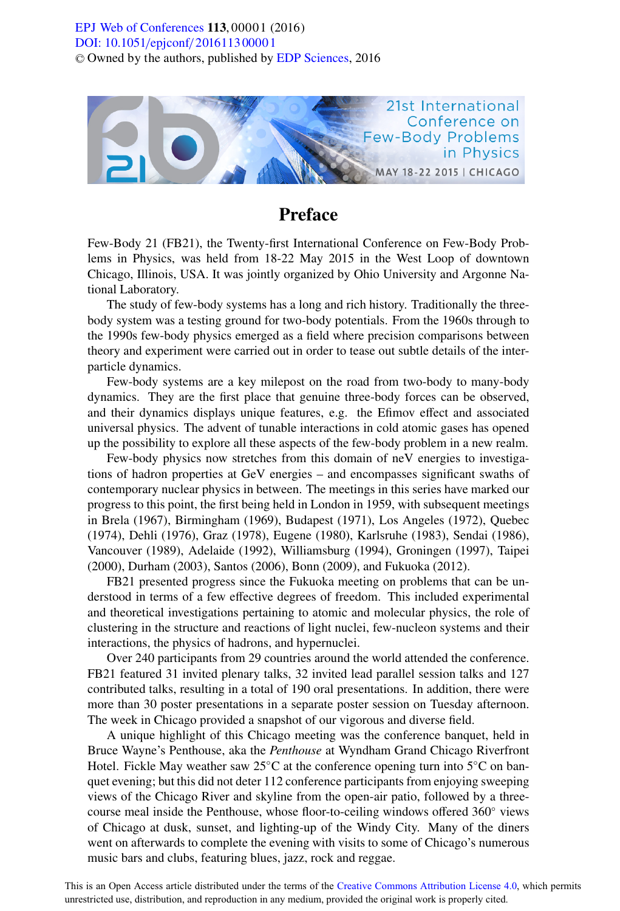## [DOI: 10.1051](http://dx.doi.org/10.1051/epjconf/201611300001)/epjconf/201611300001 © Owned by the authors, published by [EDP Sciences](http://www.edpsciences.org), 2016 **EPJ** Web of Conferences **113**,00001 (2016)



## Preface

Few-Body 21 (FB21), the Twenty-first International Conference on Few-Body Problems in Physics, was held from 18-22 May 2015 in the West Loop of downtown Chicago, Illinois, USA. It was jointly organized by Ohio University and Argonne National Laboratory.

The study of few-body systems has a long and rich history. Traditionally the threebody system was a testing ground for two-body potentials. From the 1960s through to the 1990s few-body physics emerged as a field where precision comparisons between theory and experiment were carried out in order to tease out subtle details of the interparticle dynamics.

Few-body systems are a key milepost on the road from two-body to many-body dynamics. They are the first place that genuine three-body forces can be observed, and their dynamics displays unique features, e.g. the Efimov effect and associated universal physics. The advent of tunable interactions in cold atomic gases has opened up the possibility to explore all these aspects of the few-body problem in a new realm.

Few-body physics now stretches from this domain of neV energies to investigations of hadron properties at GeV energies – and encompasses significant swaths of contemporary nuclear physics in between. The meetings in this series have marked our progress to this point, the first being held in London in 1959, with subsequent meetings in Brela (1967), Birmingham (1969), Budapest (1971), Los Angeles (1972), Quebec (1974), Dehli (1976), Graz (1978), Eugene (1980), Karlsruhe (1983), Sendai (1986), Vancouver (1989), Adelaide (1992), Williamsburg (1994), Groningen (1997), Taipei (2000), Durham (2003), Santos (2006), Bonn (2009), and Fukuoka (2012).

FB21 presented progress since the Fukuoka meeting on problems that can be understood in terms of a few effective degrees of freedom. This included experimental and theoretical investigations pertaining to atomic and molecular physics, the role of clustering in the structure and reactions of light nuclei, few-nucleon systems and their interactions, the physics of hadrons, and hypernuclei.

Over 240 participants from 29 countries around the world attended the conference. FB21 featured 31 invited plenary talks, 32 invited lead parallel session talks and 127 contributed talks, resulting in a total of 190 oral presentations. In addition, there were more than 30 poster presentations in a separate poster session on Tuesday afternoon. The week in Chicago provided a snapshot of our vigorous and diverse field.

A unique highlight of this Chicago meeting was the conference banquet, held in Bruce Wayne's Penthouse, aka the *Penthouse* at Wyndham Grand Chicago Riverfront Hotel. Fickle May weather saw 25<sup>°</sup>C at the conference opening turn into 5<sup>°</sup>C on banquet evening; but this did not deter 112 conference participants from enjoying sweeping views of the Chicago River and skyline from the open-air patio, followed by a threecourse meal inside the Penthouse, whose floor-to-ceiling windows offered 360◦ views of Chicago at dusk, sunset, and lighting-up of the Windy City. Many of the diners went on afterwards to complete the evening with visits to some of Chicago's numerous music bars and clubs, featuring blues, jazz, rock and reggae.